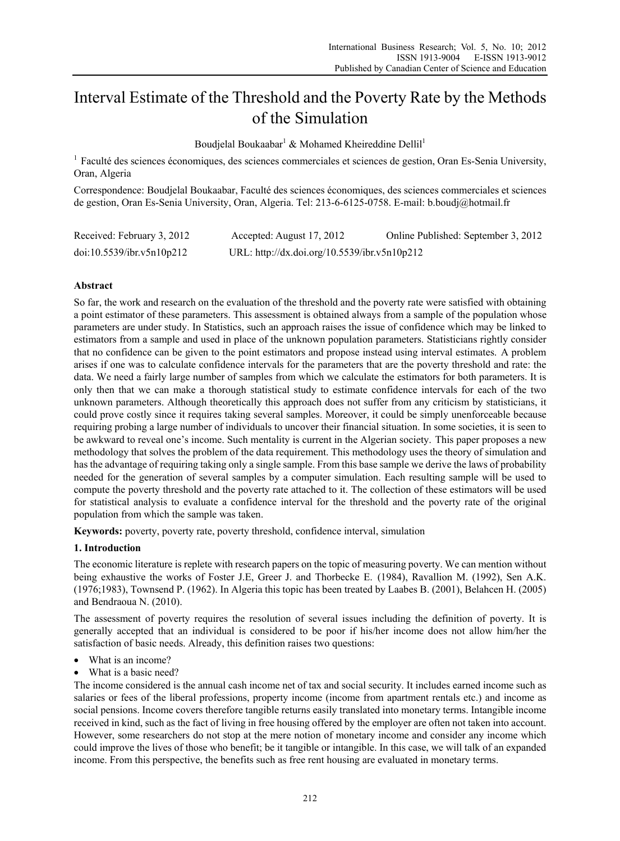# Interval Estimate of the Threshold and the Poverty Rate by the Methods of the Simulation

Boudjelal Boukaabar<sup>1</sup> & Mohamed Kheireddine Dellil<sup>1</sup>

<sup>1</sup> Faculté des sciences économiques, des sciences commerciales et sciences de gestion, Oran Es-Senia University, Oran, Algeria

Correspondence: Boudjelal Boukaabar, Faculté des sciences économiques, des sciences commerciales et sciences de gestion, Oran Es-Senia University, Oran, Algeria. Tel: 213-6-6125-0758. E-mail: b.boudj@hotmail.fr

| Received: February 3, 2012 | Accepted: August 17, 2012                    | Online Published: September 3, 2012 |
|----------------------------|----------------------------------------------|-------------------------------------|
| doi:10.5539/ibr.v5n10p212  | URL: http://dx.doi.org/10.5539/ibr.v5n10p212 |                                     |

## **Abstract**

So far, the work and research on the evaluation of the threshold and the poverty rate were satisfied with obtaining a point estimator of these parameters. This assessment is obtained always from a sample of the population whose parameters are under study. In Statistics, such an approach raises the issue of confidence which may be linked to estimators from a sample and used in place of the unknown population parameters. Statisticians rightly consider that no confidence can be given to the point estimators and propose instead using interval estimates. A problem arises if one was to calculate confidence intervals for the parameters that are the poverty threshold and rate: the data. We need a fairly large number of samples from which we calculate the estimators for both parameters. It is only then that we can make a thorough statistical study to estimate confidence intervals for each of the two unknown parameters. Although theoretically this approach does not suffer from any criticism by statisticians, it could prove costly since it requires taking several samples. Moreover, it could be simply unenforceable because requiring probing a large number of individuals to uncover their financial situation. In some societies, it is seen to be awkward to reveal one's income. Such mentality is current in the Algerian society. This paper proposes a new methodology that solves the problem of the data requirement. This methodology uses the theory of simulation and has the advantage of requiring taking only a single sample. From this base sample we derive the laws of probability needed for the generation of several samples by a computer simulation. Each resulting sample will be used to compute the poverty threshold and the poverty rate attached to it. The collection of these estimators will be used for statistical analysis to evaluate a confidence interval for the threshold and the poverty rate of the original population from which the sample was taken.

**Keywords:** poverty, poverty rate, poverty threshold, confidence interval, simulation

## **1. Introduction**

The economic literature is replete with research papers on the topic of measuring poverty. We can mention without being exhaustive the works of Foster J.E, Greer J. and Thorbecke E. (1984), Ravallion M. (1992), Sen A.K. (1976;1983), Townsend P. (1962). In Algeria this topic has been treated by Laabes B. (2001), Belahcen H. (2005) and Bendraoua N. (2010).

The assessment of poverty requires the resolution of several issues including the definition of poverty. It is generally accepted that an individual is considered to be poor if his/her income does not allow him/her the satisfaction of basic needs. Already, this definition raises two questions:

- What is an income?
- What is a basic need?

The income considered is the annual cash income net of tax and social security. It includes earned income such as salaries or fees of the liberal professions, property income (income from apartment rentals etc.) and income as social pensions. Income covers therefore tangible returns easily translated into monetary terms. Intangible income received in kind, such as the fact of living in free housing offered by the employer are often not taken into account. However, some researchers do not stop at the mere notion of monetary income and consider any income which could improve the lives of those who benefit; be it tangible or intangible. In this case, we will talk of an expanded income. From this perspective, the benefits such as free rent housing are evaluated in monetary terms.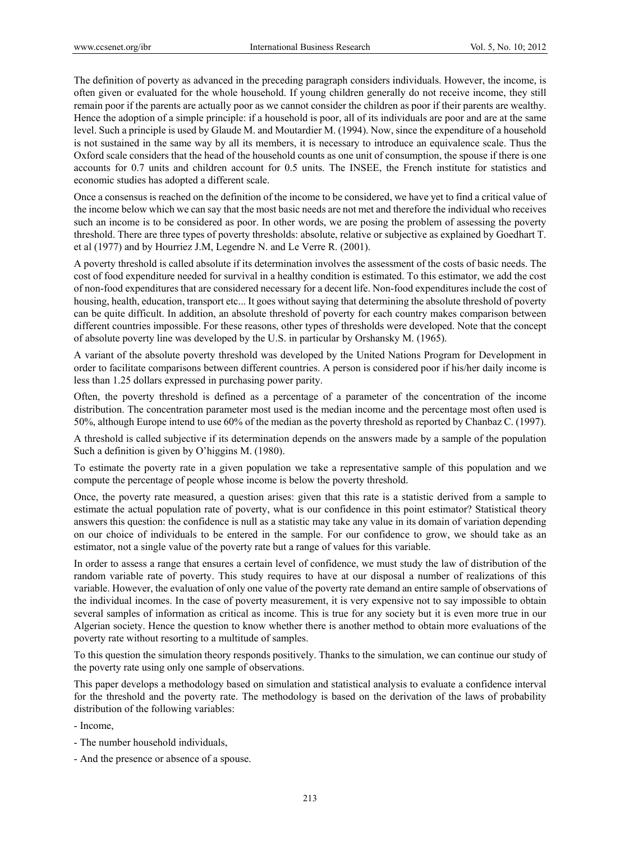The definition of poverty as advanced in the preceding paragraph considers individuals. However, the income, is often given or evaluated for the whole household. If young children generally do not receive income, they still remain poor if the parents are actually poor as we cannot consider the children as poor if their parents are wealthy. Hence the adoption of a simple principle: if a household is poor, all of its individuals are poor and are at the same level. Such a principle is used by Glaude M. and Moutardier M. (1994). Now, since the expenditure of a household is not sustained in the same way by all its members, it is necessary to introduce an equivalence scale. Thus the Oxford scale considers that the head of the household counts as one unit of consumption, the spouse if there is one accounts for 0.7 units and children account for 0.5 units. The INSEE, the French institute for statistics and economic studies has adopted a different scale.

Once a consensus is reached on the definition of the income to be considered, we have yet to find a critical value of the income below which we can say that the most basic needs are not met and therefore the individual who receives such an income is to be considered as poor. In other words, we are posing the problem of assessing the poverty threshold. There are three types of poverty thresholds: absolute, relative or subjective as explained by Goedhart T. et al (1977) and by Hourriez J.M, Legendre N. and Le Verre R. (2001).

A poverty threshold is called absolute if its determination involves the assessment of the costs of basic needs. The cost of food expenditure needed for survival in a healthy condition is estimated. To this estimator, we add the cost of non-food expenditures that are considered necessary for a decent life. Non-food expenditures include the cost of housing, health, education, transport etc... It goes without saying that determining the absolute threshold of poverty can be quite difficult. In addition, an absolute threshold of poverty for each country makes comparison between different countries impossible. For these reasons, other types of thresholds were developed. Note that the concept of absolute poverty line was developed by the U.S. in particular by Orshansky M. (1965).

A variant of the absolute poverty threshold was developed by the United Nations Program for Development in order to facilitate comparisons between different countries. A person is considered poor if his/her daily income is less than 1.25 dollars expressed in purchasing power parity.

Often, the poverty threshold is defined as a percentage of a parameter of the concentration of the income distribution. The concentration parameter most used is the median income and the percentage most often used is 50%, although Europe intend to use 60% of the median as the poverty threshold as reported by Chanbaz C. (1997).

A threshold is called subjective if its determination depends on the answers made by a sample of the population Such a definition is given by O'higgins M. (1980).

To estimate the poverty rate in a given population we take a representative sample of this population and we compute the percentage of people whose income is below the poverty threshold.

Once, the poverty rate measured, a question arises: given that this rate is a statistic derived from a sample to estimate the actual population rate of poverty, what is our confidence in this point estimator? Statistical theory answers this question: the confidence is null as a statistic may take any value in its domain of variation depending on our choice of individuals to be entered in the sample. For our confidence to grow, we should take as an estimator, not a single value of the poverty rate but a range of values for this variable.

In order to assess a range that ensures a certain level of confidence, we must study the law of distribution of the random variable rate of poverty. This study requires to have at our disposal a number of realizations of this variable. However, the evaluation of only one value of the poverty rate demand an entire sample of observations of the individual incomes. In the case of poverty measurement, it is very expensive not to say impossible to obtain several samples of information as critical as income. This is true for any society but it is even more true in our Algerian society. Hence the question to know whether there is another method to obtain more evaluations of the poverty rate without resorting to a multitude of samples.

To this question the simulation theory responds positively. Thanks to the simulation, we can continue our study of the poverty rate using only one sample of observations.

This paper develops a methodology based on simulation and statistical analysis to evaluate a confidence interval for the threshold and the poverty rate. The methodology is based on the derivation of the laws of probability distribution of the following variables:

- Income,

- The number household individuals,
- And the presence or absence of a spouse.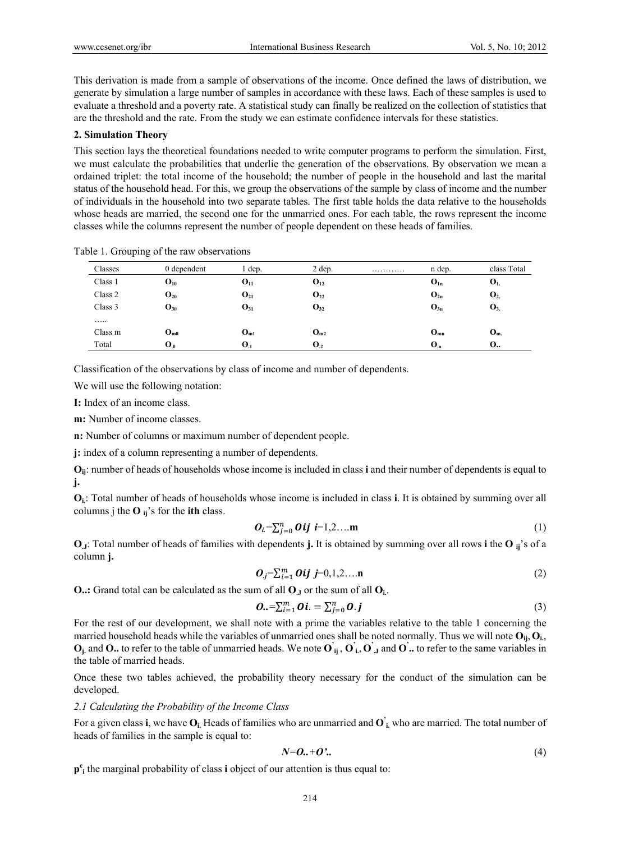This derivation is made from a sample of observations of the income. Once defined the laws of distribution, we generate by simulation a large number of samples in accordance with these laws. Each of these samples is used to evaluate a threshold and a poverty rate. A statistical study can finally be realized on the collection of statistics that are the threshold and the rate. From the study we can estimate confidence intervals for these statistics.

#### **2. Simulation Theory**

This section lays the theoretical foundations needed to write computer programs to perform the simulation. First, we must calculate the probabilities that underlie the generation of the observations. By observation we mean a ordained triplet: the total income of the household; the number of people in the household and last the marital status of the household head. For this, we group the observations of the sample by class of income and the number of individuals in the household into two separate tables. The first table holds the data relative to the households whose heads are married, the second one for the unmarried ones. For each table, the rows represent the income classes while the columns represent the number of people dependent on these heads of families.

| Classes | 0 dependent       | l dep.            | $2$ dep.          | . | n dep.   | class Total      |
|---------|-------------------|-------------------|-------------------|---|----------|------------------|
| Class 1 | $O_{10}$          | $O_{11}$          | $O_{12}$          |   | $O_{1n}$ | $\mathbf{O}_{1}$ |
| Class 2 | $O_{20}$          | $O_{21}$          | $\mathbf{O}_{22}$ |   | $O_{2n}$ | O <sub>2</sub>   |
| Class 3 | $O_{30}$          | $O_{31}$          | $O_{32}$          |   | $O_{3n}$ | $\mathbf{O}_{3}$ |
| .       |                   |                   |                   |   |          |                  |
| Class m | $O_{m0}$          | O <sub>m1</sub>   | $O_{m2}$          |   | $O_{mn}$ | O <sub>m</sub>   |
| Total   | $\mathbf{O}_{.0}$ | $\mathbf{O}_{.1}$ | $\mathbf{O}_2$    |   | $O_n$    | O.,              |

Table 1. Grouping of the raw observations

Classification of the observations by class of income and number of dependents.

We will use the following notation:

**I:** Index of an income class.

**m:** Number of income classes.

**n:** Number of columns or maximum number of dependent people.

**j:** index of a column representing a number of dependents.

**Oij**: number of heads of households whose income is included in class **i** and their number of dependents is equal to **j.**

**Oi.**: Total number of heads of households whose income is included in class **i**. It is obtained by summing over all columns j the  $O_{ii}$ 's for the **ith** class.

$$
\boldsymbol{O}_i = \sum_{j=0}^n \boldsymbol{O} \boldsymbol{ij} \quad \boldsymbol{i} = 1, 2, \dots \mathbf{m} \tag{1}
$$

**O.J**: Total number of heads of families with dependents **j.** It is obtained by summing over all rows **i** the **O ij**'s of a column **j.**

$$
O_j = \sum_{i=1}^m Oij \ j = 0, 1, 2, \dots n \tag{2}
$$

**O..:** Grand total can be calculated as the sum of all  $O_J$  or the sum of all  $O_i$ .

$$
\boldsymbol{0}.\boldsymbol{=}\sum_{i=1}^{m}\boldsymbol{0}\boldsymbol{i}.\boldsymbol{=}\sum_{j=0}^{n}\boldsymbol{0}.\boldsymbol{j}
$$
\n(3)

For the rest of our development, we shall note with a prime the variables relative to the table 1 concerning the married household heads while the variables of unmarried ones shall be noted normally. Thus we will note  $O_{ii}$ ,  $O_{i}$ ,  $\mathbf{O}_i$  and  $\mathbf{O}_i$  to refer to the table of unmarried heads. We note  $\mathbf{O}_{ij}$ ,  $\mathbf{O}_{i,j}$  and  $\mathbf{O}'$  to refer to the same variables in the table of married heads.

Once these two tables achieved, the probability theory necessary for the conduct of the simulation can be developed.

#### *2.1 Calculating the Probability of the Income Class*

For a given class **i**, we have  $O_i$ . Heads of families who are unmarried and  $O_i$  who are married. The total number of heads of families in the sample is equal to:

$$
N=\boldsymbol{0}.\boldsymbol{+}\boldsymbol{0}'.\tag{4}
$$

**pc i** the marginal probability of class **i** object of our attention is thus equal to: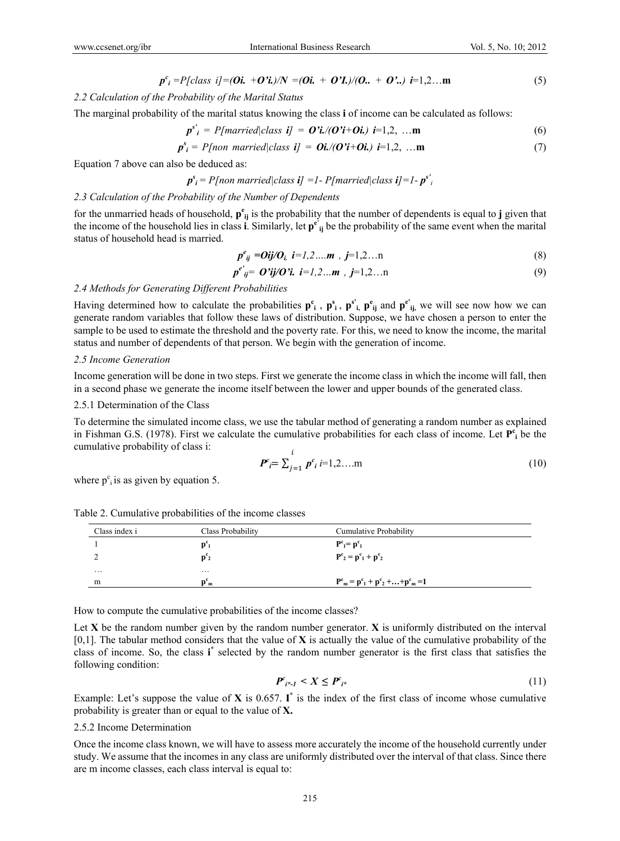$$
p^c_i = P[class\ i] = (0i. + 0'i)/N = (0i. + 0'I)/(0. + 0'.) i = 1,2...m
$$
 (5)

#### *2.2 Calculation of the Probability of the Marital Status*

The marginal probability of the marital status knowing the class **i** of income can be calculated as follows:

$$
p^{s'}_i = P[married|class \mathbf{i}] = \mathbf{O'i}/(\mathbf{O'i}+\mathbf{Oi}) \mathbf{i}=1,2,\dots \mathbf{m}
$$
 (6)

$$
p_{i}^{s} = P[non\, married|class\,ij] = \mathbf{0} \mathbf{i} / (\mathbf{0} \mathbf{i} + \mathbf{0} \mathbf{i}) \mathbf{i} = 1, 2, \dots \mathbf{m} \tag{7}
$$

Equation 7 above can also be deduced as:

$$
p^s_i = P[non\,|class\,i] = 1 - P[married|class\,i] = 1 - p^{s'}i
$$

#### *2.3 Calculation of the Probability of the Number of Dependents*

for the unmarried heads of household,  $p^e_{ij}$  is the probability that the number of dependents is equal to **j** given that the income of the household lies in class **i**. Similarly, let **p<sup>e</sup>**' **ij** be the probability of the same event when the marital status of household head is married.

$$
p^{e}_{ij} = Oij/O_{i} \ \ i = 1, 2, \dots m \ , \ j = 1, 2, \dots n \tag{8}
$$

$$
p^{e'}_{ij} = O'ij/O'i. \ i = 1, 2...m \ , \ j = 1, 2...n \tag{9}
$$

#### *2.4 Methods for Generating Different Probabilities*

Having determined how to calculate the probabilities  $p^c_i$ ,  $p^s_i$ ,  $p^s_i$ ,  $p^e_{ij}$  and  $p^{e'}_{ij}$ , we will see now how we can generate random variables that follow these laws of distribution. Suppose, we have chosen a person to enter the sample to be used to estimate the threshold and the poverty rate. For this, we need to know the income, the marital status and number of dependents of that person. We begin with the generation of income.

#### *2.5 Income Generation*

Income generation will be done in two steps. First we generate the income class in which the income will fall, then in a second phase we generate the income itself between the lower and upper bounds of the generated class.

#### 2.5.1 Determination of the Class

To determine the simulated income class, we use the tabular method of generating a random number as explained in Fishman G.S. (1978). First we calculate the cumulative probabilities for each class of income. Let  $P_1^c$  be the cumulative probability of class i:

$$
P^c_i = \sum_{j=1}^i p^c_i \, i = 1, 2, \dots \text{m} \tag{10}
$$

where  $p^c$ <sub>i</sub> is as given by equation 5.

| Class index i | Class Probability                      | Cumulative Probability                                                              |  |
|---------------|----------------------------------------|-------------------------------------------------------------------------------------|--|
|               | $p_1$                                  | $P^c_1 = p^c_1$                                                                     |  |
|               | $p_2$                                  | $\mathbf{P}^{\mathbf{c}}_2 = \mathbf{p}^{\mathbf{c}}_1 + \mathbf{p}^{\mathbf{c}}_2$ |  |
| $\cdots$      | $\cdots$                               |                                                                                     |  |
| m             | $\mathbf{D}^{\mathbf{C}}$ <sub>m</sub> | $P^{c}{}_{m} = p^{c}{}_{1} + p^{c}{}_{2} +  + p^{c}{}_{m} = 1$                      |  |

Table 2. Cumulative probabilities of the income classes

How to compute the cumulative probabilities of the income classes?

Let **X** be the random number given by the random number generator. **X** is uniformly distributed on the interval [0,1]. The tabular method considers that the value of **X** is actually the value of the cumulative probability of the class of income. So, the class **i \*** selected by the random number generator is the first class that satisfies the following condition:

$$
\boldsymbol{P}_{i^*1}^c < X \le \boldsymbol{P}_{i^*}^c \tag{11}
$$

Example: Let's suppose the value of  $X$  is 0.657.  $I^*$  is the index of the first class of income whose cumulative probability is greater than or equal to the value of **X.** 

#### 2.5.2 Income Determination

Once the income class known, we will have to assess more accurately the income of the household currently under study. We assume that the incomes in any class are uniformly distributed over the interval of that class. Since there are m income classes, each class interval is equal to: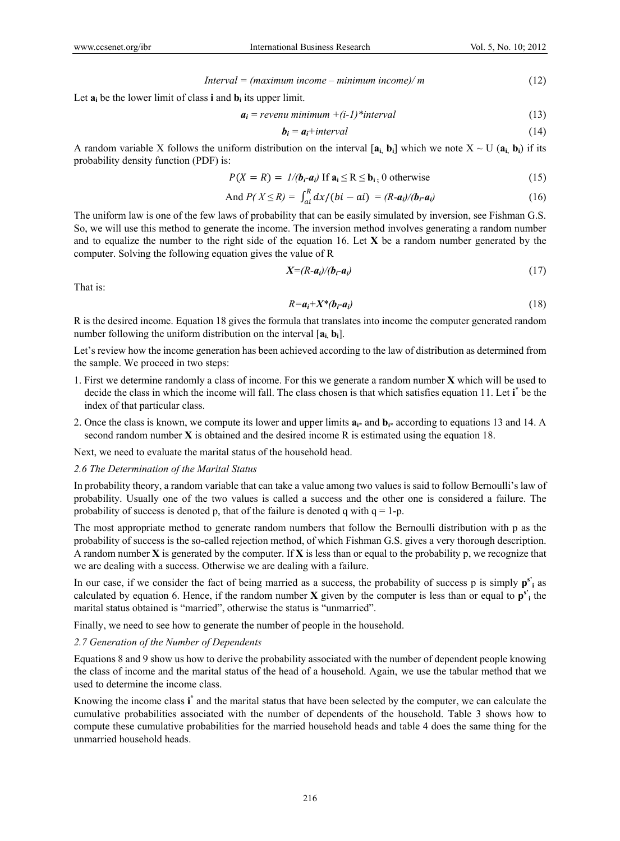$$
Interval = (maximum income - minimum income) / m \tag{12}
$$

Let  $\mathbf{a}_i$  be the lower limit of class **i** and  $\mathbf{b}_i$  its upper limit.

$$
a_i = \text{revenu minimum } +(i-1)^* \text{interval} \tag{13}
$$

$$
b_i = a_i + interval \tag{14}
$$

A random variable X follows the uniform distribution on the interval  $[a_i, b_i]$  which we note  $X \sim U(a_i, b_i)$  if its probability density function (PDF) is:

$$
P(X = R) = 1/(b_i - a_i) \text{ If } a_i \le R \le b_i, 0 \text{ otherwise}
$$
 (15)

And 
$$
P(X \le R) = \int_{ai}^{R} dx/(bi - ai) = (R - a_i)/(b_i - a_i)
$$
 (16)

The uniform law is one of the few laws of probability that can be easily simulated by inversion, see Fishman G.S. So, we will use this method to generate the income. The inversion method involves generating a random number and to equalize the number to the right side of the equation 16. Let **X** be a random number generated by the computer. Solving the following equation gives the value of R

$$
X = (R - a_i) / (b_i - a_i) \tag{17}
$$

That is:

$$
R = a_i + X^*(b_i - a_i) \tag{18}
$$

R is the desired income. Equation 18 gives the formula that translates into income the computer generated random number following the uniform distribution on the interval [**ai, bi**].

Let's review how the income generation has been achieved according to the law of distribution as determined from the sample. We proceed in two steps:

- 1. First we determine randomly a class of income. For this we generate a random number **X** which will be used to decide the class in which the income will fall. The class chosen is that which satisfies equation 11. Let i<sup>\*</sup> be the index of that particular class.
- 2. Once the class is known, we compute its lower and upper limits  $\mathbf{a}_{i^*}$  and  $\mathbf{b}_{i^*}$  according to equations 13 and 14. A second random number **X** is obtained and the desired income R is estimated using the equation 18.

Next, we need to evaluate the marital status of the household head.

# *2.6 The Determination of the Marital Status*

In probability theory, a random variable that can take a value among two values is said to follow Bernoulli's law of probability. Usually one of the two values is called a success and the other one is considered a failure. The probability of success is denoted p, that of the failure is denoted q with  $q = 1-p$ .

The most appropriate method to generate random numbers that follow the Bernoulli distribution with p as the probability of success is the so-called rejection method, of which Fishman G.S. gives a very thorough description. A random number **X** is generated by the computer. If **X** is less than or equal to the probability p, we recognize that we are dealing with a success. Otherwise we are dealing with a failure.

In our case, if we consider the fact of being married as a success, the probability of success p is simply  $p^{s'}$ <sub>i</sub> as calculated by equation 6. Hence, if the random number  $X$  given by the computer is less than or equal to  $p^{s'}$  the marital status obtained is "married", otherwise the status is "unmarried".

Finally, we need to see how to generate the number of people in the household.

#### *2.7 Generation of the Number of Dependents*

Equations 8 and 9 show us how to derive the probability associated with the number of dependent people knowing the class of income and the marital status of the head of a household. Again, we use the tabular method that we used to determine the income class.

Knowing the income class **i \*** and the marital status that have been selected by the computer, we can calculate the cumulative probabilities associated with the number of dependents of the household. Table 3 shows how to compute these cumulative probabilities for the married household heads and table 4 does the same thing for the unmarried household heads.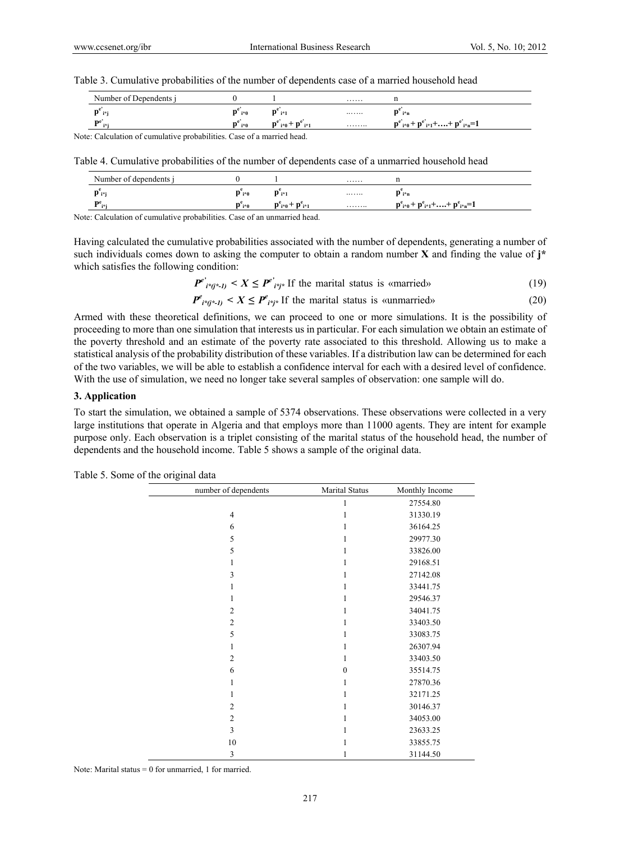Table 3. Cumulative probabilities of the number of dependents case of a married household head

| Number of Dependents i                                               |                                          |                                                                     | . |                                                                    |  |  |  |
|----------------------------------------------------------------------|------------------------------------------|---------------------------------------------------------------------|---|--------------------------------------------------------------------|--|--|--|
| P i*i                                                                | $\mathbf{p}^{\scriptscriptstyle -}$ i*0. | $\mathbf{p}^*$ i*1                                                  |   | i*n                                                                |  |  |  |
| De                                                                   | i*û                                      | ${\bf p}^{\rm e}$ <sub>i*0</sub> + ${\bf p}^{\rm e}$ <sub>i*1</sub> | . | $p^{e'}_{i^{*}0} + p^{e'}_{i^{*}1} + \ldots + p^{e'}_{i^{*}n} = 1$ |  |  |  |
| eta: Coloulation of aumulative probabilities. Case of a merried head |                                          |                                                                     |   |                                                                    |  |  |  |

Note: Calculation of cumulative probabilities. Case of a married head.

Table 4. Cumulative probabilities of the number of dependents case of a unmarried household head

| Number of dependents i |       |                                                                                                     | . |                                                                 |
|------------------------|-------|-----------------------------------------------------------------------------------------------------|---|-----------------------------------------------------------------|
|                        | D i*0 | $\mathbf{D}_{i^*1}$                                                                                 |   | P i*n                                                           |
| ne<br>.                | D`i*0 | $\mathbf{D}^{\mathrm{e}}_{\mathbf{i}*\mathbf{0}} + \mathbf{D}^{\mathrm{e}}_{\mathbf{i}*\mathbf{1}}$ | . | $p^{e}_{i^{*}0} + p^{e}_{i^{*}1} + \ldots + p^{e}_{i^{*}n} = 1$ |

Note: Calculation of cumulative probabilities. Case of an unmarried head.

Having calculated the cumulative probabilities associated with the number of dependents, generating a number of such individuals comes down to asking the computer to obtain a random number **X** and finding the value of **j\*** which satisfies the following condition:

 $P^{e'}_{i^{*}(j^{*}-1)}$  <  $X \leq P^{e'}_{i^{*}(j^{*})}$  If the marital status is «married» (19)

$$
P^e_{i^*(i^*-1)} < X \le P^e_{i^*(i^*)}
$$
 If the marital status is summarized.

Armed with these theoretical definitions, we can proceed to one or more simulations. It is the possibility of proceeding to more than one simulation that interests us in particular. For each simulation we obtain an estimate of the poverty threshold and an estimate of the poverty rate associated to this threshold. Allowing us to make a statistical analysis of the probability distribution of these variables. If a distribution law can be determined for each of the two variables, we will be able to establish a confidence interval for each with a desired level of confidence. With the use of simulation, we need no longer take several samples of observation: one sample will do.

#### **3. Application**

To start the simulation, we obtained a sample of 5374 observations. These observations were collected in a very large institutions that operate in Algeria and that employs more than 11000 agents. They are intent for example purpose only. Each observation is a triplet consisting of the marital status of the household head, the number of dependents and the household income. Table 5 shows a sample of the original data.

| number of dependents | <b>Marital Status</b> | Monthly Income |
|----------------------|-----------------------|----------------|
|                      | 1                     | 27554.80       |
| $\overline{4}$       | 1                     | 31330.19       |
| 6                    | 1                     | 36164.25       |
| 5                    | 1                     | 29977.30       |
| 5                    | 1                     | 33826.00       |
| 1                    | 1                     | 29168.51       |
| 3                    | 1                     | 27142.08       |
| 1                    | 1                     | 33441.75       |
| 1                    | 1                     | 29546.37       |
| $\overline{2}$       | 1                     | 34041.75       |
| $\overline{2}$       | 1                     | 33403.50       |
| 5                    | 1                     | 33083.75       |
| 1                    | 1                     | 26307.94       |
| $\overline{2}$       | 1                     | 33403.50       |
| 6                    | $\overline{0}$        | 35514.75       |
| 1                    | 1                     | 27870.36       |
| 1                    | 1                     | 32171.25       |
| $\overline{2}$       | 1                     | 30146.37       |
| $\overline{2}$       | 1                     | 34053.00       |
| 3                    | 1                     | 23633.25       |
| 10                   | 1                     | 33855.75       |
| 3                    | 1                     | 31144.50       |

Table 5. Some of the original data

Note: Marital status  $= 0$  for unmarried, 1 for married.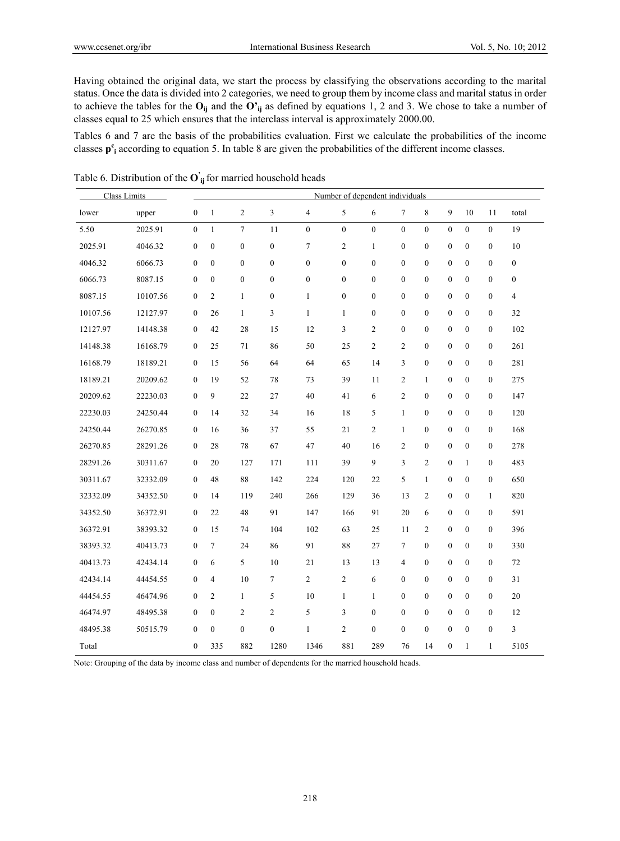Having obtained the original data, we start the process by classifying the observations according to the marital status. Once the data is divided into 2 categories, we need to group them by income class and marital status in order to achieve the tables for the  $O_{ij}$  and the  $O'_{ij}$  as defined by equations 1, 2 and 3. We chose to take a number of classes equal to 25 which ensures that the interclass interval is approximately 2000.00.

Tables 6 and 7 are the basis of the probabilities evaluation. First we calculate the probabilities of the income classes  $p^c$ <sub>i</sub> according to equation 5. In table 8 are given the probabilities of the different income classes.

| Class Limits |          |                  |                  |                  |                  |                  |                  | Number of dependent individuals |                  |                  |                  |                  |                  |                  |
|--------------|----------|------------------|------------------|------------------|------------------|------------------|------------------|---------------------------------|------------------|------------------|------------------|------------------|------------------|------------------|
| lower        | upper    | $\boldsymbol{0}$ | $\mathbf{1}$     | $\sqrt{2}$       | 3                | $\overline{4}$   | 5                | 6                               | 7                | 8                | 9                | 10               | 11               | total            |
| 5.50         | 2025.91  | $\mathbf{0}$     | 1                | $\tau$           | 11               | $\mathbf{0}$     | $\mathbf{0}$     | $\mathbf{0}$                    | $\boldsymbol{0}$ | $\mathbf{0}$     | $\mathbf{0}$     | $\overline{0}$   | $\overline{0}$   | 19               |
| 2025.91      | 4046.32  | $\boldsymbol{0}$ | $\boldsymbol{0}$ | $\boldsymbol{0}$ | $\boldsymbol{0}$ | $\tau$           | $\overline{c}$   | $\mathbf{1}$                    | $\boldsymbol{0}$ | $\boldsymbol{0}$ | $\boldsymbol{0}$ | $\overline{0}$   | $\boldsymbol{0}$ | 10               |
| 4046.32      | 6066.73  | $\boldsymbol{0}$ | $\boldsymbol{0}$ | $\boldsymbol{0}$ | $\boldsymbol{0}$ | $\boldsymbol{0}$ | $\boldsymbol{0}$ | $\boldsymbol{0}$                | $\boldsymbol{0}$ | $\boldsymbol{0}$ | $\boldsymbol{0}$ | $\boldsymbol{0}$ | $\boldsymbol{0}$ | $\boldsymbol{0}$ |
| 6066.73      | 8087.15  | $\mathbf{0}$     | $\mathbf{0}$     | $\boldsymbol{0}$ | $\mathbf{0}$     | $\mathbf{0}$     | $\mathbf{0}$     | $\mathbf{0}$                    | $\mathbf{0}$     | $\mathbf{0}$     | $\mathbf{0}$     | $\mathbf{0}$     | $\mathbf{0}$     | $\mathbf{0}$     |
| 8087.15      | 10107.56 | $\boldsymbol{0}$ | $\overline{c}$   | $\mathbf{1}$     | $\boldsymbol{0}$ | $\mathbf{1}$     | $\boldsymbol{0}$ | $\boldsymbol{0}$                | $\boldsymbol{0}$ | $\boldsymbol{0}$ | $\boldsymbol{0}$ | $\boldsymbol{0}$ | $\boldsymbol{0}$ | 4                |
| 10107.56     | 12127.97 | $\bf{0}$         | 26               | $\mathbf{1}$     | 3                | $\mathbf{1}$     | 1                | $\boldsymbol{0}$                | $\boldsymbol{0}$ | $\boldsymbol{0}$ | $\boldsymbol{0}$ | $\boldsymbol{0}$ | $\boldsymbol{0}$ | 32               |
| 12127.97     | 14148.38 | $\mathbf{0}$     | 42               | 28               | 15               | 12               | 3                | $\overline{c}$                  | $\boldsymbol{0}$ | $\boldsymbol{0}$ | $\mathbf{0}$     | $\overline{0}$   | $\boldsymbol{0}$ | 102              |
| 14148.38     | 16168.79 | $\boldsymbol{0}$ | 25               | 71               | 86               | 50               | 25               | $\overline{c}$                  | 2                | $\boldsymbol{0}$ | $\boldsymbol{0}$ | $\boldsymbol{0}$ | $\boldsymbol{0}$ | 261              |
| 16168.79     | 18189.21 | $\mathbf{0}$     | 15               | 56               | 64               | 64               | 65               | 14                              | 3                | $\boldsymbol{0}$ | $\mathbf{0}$     | $\overline{0}$   | $\boldsymbol{0}$ | 281              |
| 18189.21     | 20209.62 | $\boldsymbol{0}$ | 19               | 52               | 78               | 73               | 39               | 11                              | 2                | $\mathbf{1}$     | $\mathbf{0}$     | $\boldsymbol{0}$ | $\boldsymbol{0}$ | 275              |
| 20209.62     | 22230.03 | $\bf{0}$         | 9                | 22               | 27               | 40               | 41               | 6                               | 2                | $\boldsymbol{0}$ | $\boldsymbol{0}$ | $\boldsymbol{0}$ | $\boldsymbol{0}$ | 147              |
| 22230.03     | 24250.44 | $\boldsymbol{0}$ | 14               | 32               | 34               | 16               | 18               | 5                               | $\mathbf{1}$     | $\boldsymbol{0}$ | $\mathbf{0}$     | $\boldsymbol{0}$ | $\boldsymbol{0}$ | 120              |
| 24250.44     | 26270.85 | $\boldsymbol{0}$ | 16               | 36               | 37               | 55               | 21               | $\overline{c}$                  | $\mathbf{1}$     | $\boldsymbol{0}$ | $\boldsymbol{0}$ | $\boldsymbol{0}$ | $\boldsymbol{0}$ | 168              |
| 26270.85     | 28291.26 | $\mathbf{0}$     | 28               | 78               | 67               | 47               | 40               | 16                              | 2                | $\boldsymbol{0}$ | $\mathbf{0}$     | $\mathbf{0}$     | $\bf{0}$         | 278              |
| 28291.26     | 30311.67 | $\boldsymbol{0}$ | 20               | 127              | 171              | 111              | 39               | 9                               | 3                | $\overline{c}$   | $\boldsymbol{0}$ | $\mathbf{1}$     | $\boldsymbol{0}$ | 483              |
| 30311.67     | 32332.09 | $\boldsymbol{0}$ | 48               | $\bf 88$         | 142              | 224              | 120              | 22                              | 5                | $\mathbf{1}$     | $\boldsymbol{0}$ | $\boldsymbol{0}$ | $\boldsymbol{0}$ | 650              |
| 32332.09     | 34352.50 | $\mathbf{0}$     | 14               | 119              | 240              | 266              | 129              | 36                              | 13               | $\sqrt{2}$       | $\mathbf{0}$     | $\boldsymbol{0}$ | $\mathbf{1}$     | 820              |
| 34352.50     | 36372.91 | $\boldsymbol{0}$ | 22               | 48               | 91               | 147              | 166              | 91                              | 20               | 6                | $\boldsymbol{0}$ | $\boldsymbol{0}$ | $\boldsymbol{0}$ | 591              |
| 36372.91     | 38393.32 | $\mathbf{0}$     | 15               | 74               | 104              | 102              | 63               | 25                              | 11               | 2                | $\mathbf{0}$     | $\mathbf{0}$     | $\boldsymbol{0}$ | 396              |
| 38393.32     | 40413.73 | $\boldsymbol{0}$ | $\tau$           | 24               | 86               | 91               | 88               | 27                              | 7                | $\boldsymbol{0}$ | $\mathbf{0}$     | $\boldsymbol{0}$ | $\boldsymbol{0}$ | 330              |
| 40413.73     | 42434.14 | $\boldsymbol{0}$ | 6                | 5                | 10               | 21               | 13               | 13                              | 4                | $\boldsymbol{0}$ | $\boldsymbol{0}$ | $\boldsymbol{0}$ | $\boldsymbol{0}$ | $72\,$           |
| 42434.14     | 44454.55 | $\mathbf{0}$     | $\overline{4}$   | 10               | $\tau$           | $\overline{2}$   | $\overline{c}$   | 6                               | $\boldsymbol{0}$ | $\boldsymbol{0}$ | $\mathbf{0}$     | $\overline{0}$   | $\boldsymbol{0}$ | 31               |
| 44454.55     | 46474.96 | $\boldsymbol{0}$ | $\overline{c}$   | 1                | 5                | 10               | $\mathbf{1}$     | $\mathbf{1}$                    | $\boldsymbol{0}$ | $\boldsymbol{0}$ | $\mathbf{0}$     | $\boldsymbol{0}$ | $\boldsymbol{0}$ | $20\,$           |
| 46474.97     | 48495.38 | $\mathbf{0}$     | $\boldsymbol{0}$ | $\overline{2}$   | $\overline{c}$   | 5                | 3                | $\boldsymbol{0}$                | $\boldsymbol{0}$ | $\boldsymbol{0}$ | $\mathbf{0}$     | $\mathbf{0}$     | $\boldsymbol{0}$ | 12               |
| 48495.38     | 50515.79 | $\mathbf{0}$     | $\boldsymbol{0}$ | $\boldsymbol{0}$ | $\mathbf{0}$     | $\mathbf{1}$     | $\overline{c}$   | $\boldsymbol{0}$                | $\boldsymbol{0}$ | $\boldsymbol{0}$ | $\mathbf{0}$     | $\mathbf{0}$     | $\boldsymbol{0}$ | 3                |
| Total        |          | $\boldsymbol{0}$ | 335              | 882              | 1280             | 1346             | 881              | 289                             | 76               | 14               | $\boldsymbol{0}$ | $\mathbf{1}$     | $\mathbf{1}$     | 5105             |

Table 6. Distribution of the **O' ij** for married household heads

Note: Grouping of the data by income class and number of dependents for the married household heads.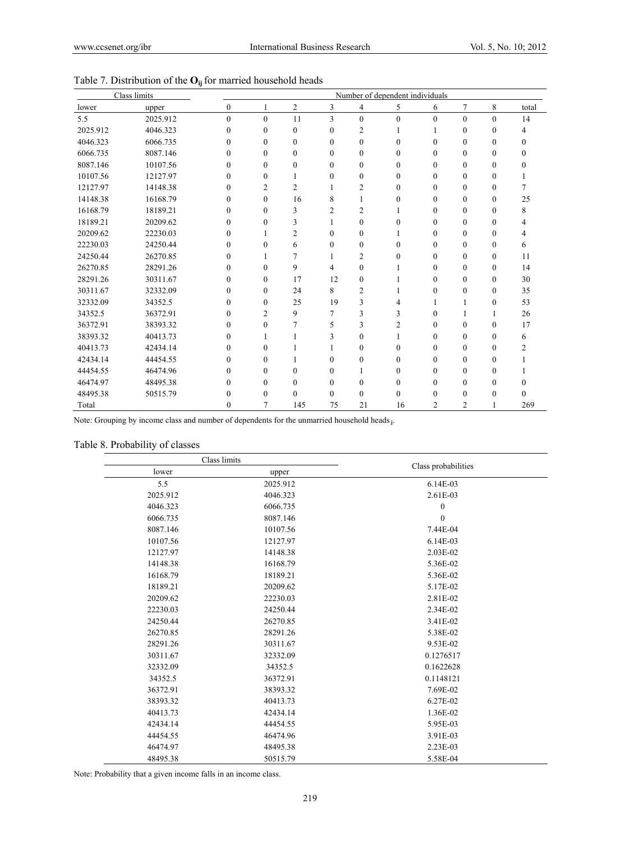|          | Class limits | Number of dependent individuals |                  |                  |          |                |                |                |                |                  |       |
|----------|--------------|---------------------------------|------------------|------------------|----------|----------------|----------------|----------------|----------------|------------------|-------|
| lower    | upper        | $\boldsymbol{0}$                | 1                | $\overline{c}$   | 3        | 4              | 5              | 6              | 7              | 8                | total |
| 5.5      | 2025.912     | $\mathbf{0}$                    | $\mathbf{0}$     | 11               | 3        | $\mathbf{0}$   | $\mathbf{0}$   | $\theta$       | $\mathbf{0}$   | $\mathbf{0}$     | 14    |
| 2025.912 | 4046.323     | $\theta$                        | $\theta$         | $\theta$         | 0        | 2              |                |                | $\Omega$       | $\Omega$         | 4     |
| 4046.323 | 6066.735     | $\Omega$                        | $\Omega$         | $\Omega$         | 0        | $\mathbf{0}$   | 0              | $\Omega$       | $\Omega$       | $\theta$         | 0     |
| 6066.735 | 8087.146     | $\theta$                        | $\theta$         | $\Omega$         | 0        | $\mathbf{0}$   | $\theta$       | $\theta$       | $\theta$       | $\theta$         | 0     |
| 8087.146 | 10107.56     | $\theta$                        | $\theta$         | $\boldsymbol{0}$ | 0        | $\Omega$       | $\Omega$       | $\theta$       | $\Omega$       | $\theta$         | 0     |
| 10107.56 | 12127.97     | $\theta$                        | $\theta$         |                  | 0        | $\theta$       | 0              | $\theta$       | $\Omega$       | $\theta$         |       |
| 12127.97 | 14148.38     | $\theta$                        | $\overline{c}$   | 2                |          | $\overline{c}$ | $\Omega$       | $\theta$       | $\theta$       | $\boldsymbol{0}$ | 7     |
| 14148.38 | 16168.79     | $\theta$                        | $\boldsymbol{0}$ | 16               | 8        |                | 0              | $\theta$       | $\theta$       | $\Omega$         | 25    |
| 16168.79 | 18189.21     | 0                               | $\Omega$         | 3                | 2        | 2              |                | $\Omega$       | $\Omega$       | $\theta$         | 8     |
| 18189.21 | 20209.62     | $\theta$                        | $\theta$         | 3                |          | $\theta$       | 0              | $\theta$       | $\theta$       | $\theta$         |       |
| 20209.62 | 22230.03     | $\Omega$                        |                  | 2                | 0        | $\Omega$       |                | $\Omega$       | $\theta$       | $\theta$         | 4     |
| 22230.03 | 24250.44     | $\theta$                        | 0                | 6                | 0        | $\theta$       | 0              | $\theta$       | $\Omega$       | $\theta$         | 6     |
| 24250.44 | 26270.85     | $\theta$                        |                  | 7                |          | $\overline{c}$ | 0              | $\theta$       | $\theta$       | $\mathbf{0}$     | 11    |
| 26270.85 | 28291.26     | $\theta$                        | $\theta$         | 9                | 4        | $\theta$       |                | $\theta$       | $\theta$       | $\boldsymbol{0}$ | 14    |
| 28291.26 | 30311.67     | $\Omega$                        | $\theta$         | 17               | 12       | $\Omega$       |                | $\Omega$       | $\Omega$       | $\theta$         | 30    |
| 30311.67 | 32332.09     | $\mathbf{0}$                    | $\boldsymbol{0}$ | 24               | 8        | $\overline{2}$ |                | 0              | 0              | $\boldsymbol{0}$ | 35    |
| 32332.09 | 34352.5      | $\theta$                        | 0                | 25               | 19       | 3              | 4              |                |                | $\mathbf{0}$     | 53    |
| 34352.5  | 36372.91     | 0                               | $\overline{c}$   | 9                | 7        | 3              | 3              | $\Omega$       |                | 1                | 26    |
| 36372.91 | 38393.32     | $\theta$                        | $\theta$         | 7                | 5        | 3              | $\overline{c}$ | $\theta$       | $\theta$       | $\mathbf{0}$     | 17    |
| 38393.32 | 40413.73     | $\theta$                        |                  |                  | 3        | $\theta$       |                | $\theta$       | $\theta$       | $\theta$         | 6     |
| 40413.73 | 42434.14     | 0                               | $\Omega$         |                  |          | $\Omega$       | 0              | $\Omega$       | $\Omega$       | $\theta$         | 2     |
| 42434.14 | 44454.55     | $\mathbf{0}$                    | 0                |                  | $\Omega$ | $\mathbf{0}$   | 0              | $\theta$       | $\theta$       | $\boldsymbol{0}$ |       |
| 44454.55 | 46474.96     | $\theta$                        | $\theta$         | $\mathbf{0}$     | $\theta$ |                | 0              | $\theta$       | 0              | $\theta$         |       |
| 46474.97 | 48495.38     | 0                               | $\theta$         | $\Omega$         | 0        | $\Omega$       | 0              | 0              | 0              | $\Omega$         | 0     |
| 48495.38 | 50515.79     | $\theta$                        | $\theta$         | $\Omega$         | 0        | $\theta$       | $\theta$       | 0              | $\Omega$       | $\theta$         | 0     |
| Total    |              | 0                               | 7                | 145              | 75       | 21             | 16             | $\overline{c}$ | $\overline{c}$ |                  | 269   |

Note: Grouping by income class and number of dependents for the unmarried household heads **j**.

# Table 8. Probability of classes

|          | Class limits | Class probabilities |  |  |
|----------|--------------|---------------------|--|--|
| lower    | upper        |                     |  |  |
| 5.5      | 2025.912     | 6.14E-03            |  |  |
| 2025.912 | 4046.323     | 2.61E-03            |  |  |
| 4046.323 | 6066.735     | $\boldsymbol{0}$    |  |  |
| 6066.735 | 8087.146     | $\theta$            |  |  |
| 8087.146 | 10107.56     | 7.44E-04            |  |  |
| 10107.56 | 12127.97     | 6.14E-03            |  |  |
| 12127.97 | 14148.38     | 2.03E-02            |  |  |
| 14148.38 | 16168.79     | 5.36E-02            |  |  |
| 16168.79 | 18189.21     | 5.36E-02            |  |  |
| 18189.21 | 20209.62     | 5.17E-02            |  |  |
| 20209.62 | 22230.03     | 2.81E-02            |  |  |
| 22230.03 | 24250.44     | 2.34E-02            |  |  |
| 24250.44 | 26270.85     | 3.41E-02            |  |  |
| 26270.85 | 28291.26     | 5.38E-02            |  |  |
| 28291.26 | 30311.67     | 9.53E-02            |  |  |
| 30311.67 | 32332.09     | 0.1276517           |  |  |
| 32332.09 | 34352.5      | 0.1622628           |  |  |
| 34352.5  | 36372.91     | 0.1148121           |  |  |
| 36372.91 | 38393.32     | 7.69E-02            |  |  |
| 38393.32 | 40413.73     | 6.27E-02            |  |  |
| 40413.73 | 42434.14     | 1.36E-02            |  |  |
| 42434.14 | 44454.55     | 5.95E-03            |  |  |
| 44454.55 | 46474.96     | 3.91E-03            |  |  |
| 46474.97 | 48495.38     | 2.23E-03            |  |  |
| 48495.38 | 50515.79     | 5.58E-04            |  |  |

Note: Probability that a given income falls in an income class.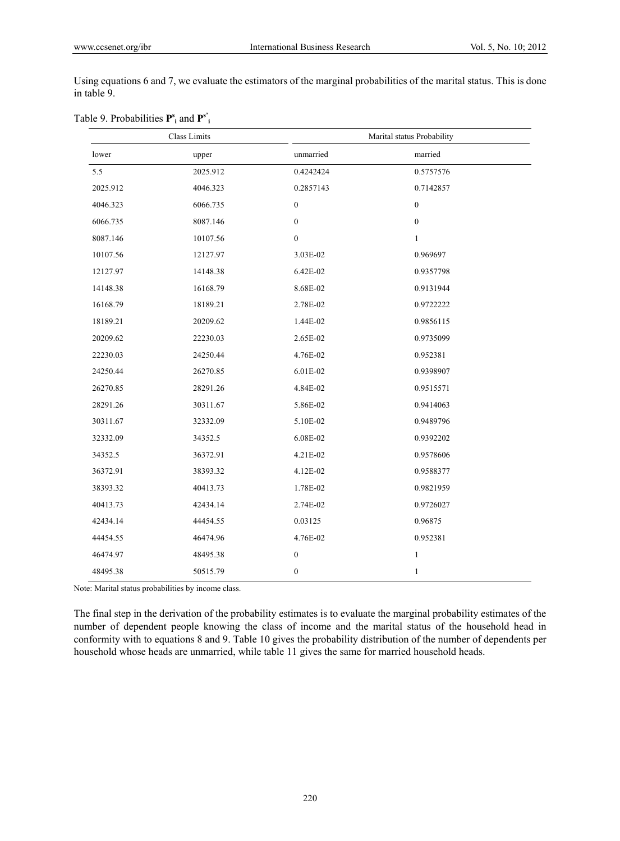Using equations 6 and 7, we evaluate the estimators of the marginal probabilities of the marital status. This is done in table 9.

| Class Limits |          |                  | Marital status Probability |
|--------------|----------|------------------|----------------------------|
| lower        | upper    | unmarried        | married                    |
| 5.5          | 2025.912 | 0.4242424        | 0.5757576                  |
| 2025.912     | 4046.323 | 0.2857143        | 0.7142857                  |
| 4046.323     | 6066.735 | $\boldsymbol{0}$ | $\boldsymbol{0}$           |
| 6066.735     | 8087.146 | $\boldsymbol{0}$ | $\boldsymbol{0}$           |
| 8087.146     | 10107.56 | $\boldsymbol{0}$ | $\mathbf{1}$               |
| 10107.56     | 12127.97 | 3.03E-02         | 0.969697                   |
| 12127.97     | 14148.38 | 6.42E-02         | 0.9357798                  |
| 14148.38     | 16168.79 | 8.68E-02         | 0.9131944                  |
| 16168.79     | 18189.21 | 2.78E-02         | 0.9722222                  |
| 18189.21     | 20209.62 | 1.44E-02         | 0.9856115                  |
| 20209.62     | 22230.03 | 2.65E-02         | 0.9735099                  |
| 22230.03     | 24250.44 | 4.76E-02         | 0.952381                   |
| 24250.44     | 26270.85 | 6.01E-02         | 0.9398907                  |
| 26270.85     | 28291.26 | 4.84E-02         | 0.9515571                  |
| 28291.26     | 30311.67 | 5.86E-02         | 0.9414063                  |
| 30311.67     | 32332.09 | 5.10E-02         | 0.9489796                  |
| 32332.09     | 34352.5  | 6.08E-02         | 0.9392202                  |
| 34352.5      | 36372.91 | 4.21E-02         | 0.9578606                  |
| 36372.91     | 38393.32 | 4.12E-02         | 0.9588377                  |
| 38393.32     | 40413.73 | 1.78E-02         | 0.9821959                  |
| 40413.73     | 42434.14 | 2.74E-02         | 0.9726027                  |
| 42434.14     | 44454.55 | 0.03125          | 0.96875                    |
| 44454.55     | 46474.96 | 4.76E-02         | 0.952381                   |
| 46474.97     | 48495.38 | $\boldsymbol{0}$ | $\mathbf{1}$               |
| 48495.38     | 50515.79 | $\boldsymbol{0}$ | $\mathbf{1}$               |

|  | Table 9. Probabilities $\mathbf{P}_{i}^{s}$ and $\mathbf{P}_{i}^{s'}$ |  |
|--|-----------------------------------------------------------------------|--|
|--|-----------------------------------------------------------------------|--|

Note: Marital status probabilities by income class.

The final step in the derivation of the probability estimates is to evaluate the marginal probability estimates of the number of dependent people knowing the class of income and the marital status of the household head in conformity with to equations 8 and 9. Table 10 gives the probability distribution of the number of dependents per household whose heads are unmarried, while table 11 gives the same for married household heads.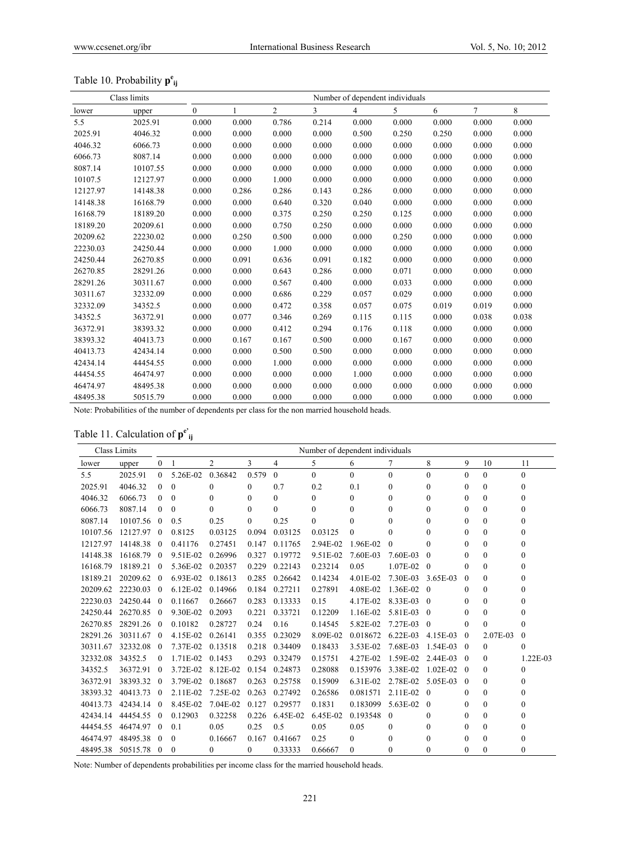# Table 10. Probability **p<sup>e</sup> ij**

|          | Class limits | Number of dependent individuals |       |                |       |                |       |       |        |       |  |
|----------|--------------|---------------------------------|-------|----------------|-------|----------------|-------|-------|--------|-------|--|
| lower    | upper        | $\mathbf{0}$                    | 1     | $\overline{2}$ | 3     | $\overline{4}$ | 5     | 6     | $\tau$ | 8     |  |
| 5.5      | 2025.91      | 0.000                           | 0.000 | 0.786          | 0.214 | 0.000          | 0.000 | 0.000 | 0.000  | 0.000 |  |
| 2025.91  | 4046.32      | 0.000                           | 0.000 | 0.000          | 0.000 | 0.500          | 0.250 | 0.250 | 0.000  | 0.000 |  |
| 4046.32  | 6066.73      | 0.000                           | 0.000 | 0.000          | 0.000 | 0.000          | 0.000 | 0.000 | 0.000  | 0.000 |  |
| 6066.73  | 8087.14      | 0.000                           | 0.000 | 0.000          | 0.000 | 0.000          | 0.000 | 0.000 | 0.000  | 0.000 |  |
| 8087.14  | 10107.55     | 0.000                           | 0.000 | 0.000          | 0.000 | 0.000          | 0.000 | 0.000 | 0.000  | 0.000 |  |
| 10107.5  | 12127.97     | 0.000                           | 0.000 | 1.000          | 0.000 | 0.000          | 0.000 | 0.000 | 0.000  | 0.000 |  |
| 12127.97 | 14148.38     | 0.000                           | 0.286 | 0.286          | 0.143 | 0.286          | 0.000 | 0.000 | 0.000  | 0.000 |  |
| 14148.38 | 16168.79     | 0.000                           | 0.000 | 0.640          | 0.320 | 0.040          | 0.000 | 0.000 | 0.000  | 0.000 |  |
| 16168.79 | 18189.20     | 0.000                           | 0.000 | 0.375          | 0.250 | 0.250          | 0.125 | 0.000 | 0.000  | 0.000 |  |
| 18189.20 | 20209.61     | 0.000                           | 0.000 | 0.750          | 0.250 | 0.000          | 0.000 | 0.000 | 0.000  | 0.000 |  |
| 20209.62 | 22230.02     | 0.000                           | 0.250 | 0.500          | 0.000 | 0.000          | 0.250 | 0.000 | 0.000  | 0.000 |  |
| 22230.03 | 24250.44     | 0.000                           | 0.000 | 1.000          | 0.000 | 0.000          | 0.000 | 0.000 | 0.000  | 0.000 |  |
| 24250.44 | 26270.85     | 0.000                           | 0.091 | 0.636          | 0.091 | 0.182          | 0.000 | 0.000 | 0.000  | 0.000 |  |
| 26270.85 | 28291.26     | 0.000                           | 0.000 | 0.643          | 0.286 | 0.000          | 0.071 | 0.000 | 0.000  | 0.000 |  |
| 28291.26 | 30311.67     | 0.000                           | 0.000 | 0.567          | 0.400 | 0.000          | 0.033 | 0.000 | 0.000  | 0.000 |  |
| 30311.67 | 32332.09     | 0.000                           | 0.000 | 0.686          | 0.229 | 0.057          | 0.029 | 0.000 | 0.000  | 0.000 |  |
| 32332.09 | 34352.5      | 0.000                           | 0.000 | 0.472          | 0.358 | 0.057          | 0.075 | 0.019 | 0.019  | 0.000 |  |
| 34352.5  | 36372.91     | 0.000                           | 0.077 | 0.346          | 0.269 | 0.115          | 0.115 | 0.000 | 0.038  | 0.038 |  |
| 36372.91 | 38393.32     | 0.000                           | 0.000 | 0.412          | 0.294 | 0.176          | 0.118 | 0.000 | 0.000  | 0.000 |  |
| 38393.32 | 40413.73     | 0.000                           | 0.167 | 0.167          | 0.500 | 0.000          | 0.167 | 0.000 | 0.000  | 0.000 |  |
| 40413.73 | 42434.14     | 0.000                           | 0.000 | 0.500          | 0.500 | 0.000          | 0.000 | 0.000 | 0.000  | 0.000 |  |
| 42434.14 | 44454.55     | 0.000                           | 0.000 | 1.000          | 0.000 | 0.000          | 0.000 | 0.000 | 0.000  | 0.000 |  |
| 44454.55 | 46474.97     | 0.000                           | 0.000 | 0.000          | 0.000 | 1.000          | 0.000 | 0.000 | 0.000  | 0.000 |  |
| 46474.97 | 48495.38     | 0.000                           | 0.000 | 0.000          | 0.000 | 0.000          | 0.000 | 0.000 | 0.000  | 0.000 |  |
| 48495.38 | 50515.79     | 0.000                           | 0.000 | 0.000          | 0.000 | 0.000          | 0.000 | 0.000 | 0.000  | 0.000 |  |

Note: Probabilities of the number of dependents per class for the non married household heads.

# Table 11. Calculation of **pe' ij**

|          | Class Limits |                |            |                | Number of dependent individuals |                |              |          |              |                |                  |              |              |
|----------|--------------|----------------|------------|----------------|---------------------------------|----------------|--------------|----------|--------------|----------------|------------------|--------------|--------------|
| lower    | upper        | $\overline{0}$ | 1          | $\overline{2}$ | 3                               | $\overline{4}$ | 5            | 6        | 7            | 8              | 9                | 10           | 11           |
| 5.5      | 2025.91      | $\Omega$       | 5.26E-02   | 0.36842        | 0.579                           | $\theta$       | $\Omega$     | $\theta$ | $\Omega$     | $\theta$       | $\Omega$         | $\Omega$     | $\mathbf{0}$ |
| 2025.91  | 4046.32      | $\Omega$       | $\theta$   | $\mathbf{0}$   | $\mathbf{0}$                    | 0.7            | 0.2          | 0.1      | $\theta$     | $\Omega$       | $\mathbf{0}$     | $\Omega$     | $\theta$     |
| 4046.32  | 6066.73      | $\theta$       | $\theta$   | $\theta$       | 0                               | $\Omega$       | $\theta$     | $\theta$ | $\theta$     | $\theta$       | $\Omega$         | $\Omega$     | $\theta$     |
| 6066.73  | 8087.14      | $\Omega$       | $\theta$   | $\Omega$       | $\theta$                        | $\Omega$       | $\mathbf{0}$ | $\theta$ | $\theta$     | $\theta$       | $\boldsymbol{0}$ | $\mathbf{0}$ | $\theta$     |
| 8087.14  | 10107.56     | $\overline{0}$ | 0.5        | 0.25           | $\Omega$                        | 0.25           | $\Omega$     | $\Omega$ | 0            | $\theta$       | $\theta$         | $\Omega$     | $\theta$     |
| 10107.56 | 12127.97     | $\overline{0}$ | 0.8125     | 0.03125        | 0.094                           | 0.03125        | 0.03125      | $\Omega$ | $\Omega$     | $\Omega$       | $\theta$         | $\Omega$     | $\theta$     |
| 12127.97 | 14148.38     | $\overline{0}$ | 0.41176    | 0.27451        | 0.147                           | 0.11765        | 2.94E-02     | 1.96E-02 | $\theta$     | $\Omega$       | $\theta$         | $\mathbf{0}$ | $\theta$     |
| 14148.38 | 16168.79 0   |                | 9.51E-02   | 0.26996        | 0.327                           | 0.19772        | 9.51E-02     | 7.60E-03 | 7.60E-03     | $\theta$       | $\theta$         | $\mathbf{0}$ | $\mathbf{0}$ |
| 16168.79 | 18189.21 0   |                | 5.36E-02   | 0.20357        | 0.229                           | 0.22143        | 0.23214      | 0.05     | $1.07E-02$ 0 |                | $\Omega$         | $\Omega$     | $\theta$     |
| 18189.21 | 20209.62     | $\overline{0}$ | 6.93E-02   | 0.18613        | 0.285                           | 0.26642        | 0.14234      | 4.01E-02 | 7.30E-03     | 3.65E-03       | $\theta$         | $\Omega$     | $\theta$     |
| 20209.62 | 22230.03 0   |                | $6.12E-02$ | 0.14966        | 0.184                           | 0.27211        | 0.27891      | 4.08E-02 | 1.36E-02 0   |                | $\theta$         | $\mathbf{0}$ | $\mathbf{0}$ |
| 22230.03 | 24250.44 0   |                | 0.11667    | 0.26667        | 0.283                           | 0.13333        | 0.15         | 4.17E-02 | $8.33E-03$ 0 |                | $\theta$         | $\Omega$     | $\theta$     |
| 24250.44 | 26270.85 0   |                | 9.30E-02   | 0.2093         | 0.221                           | 0.33721        | 0.12209      | 1.16E-02 | 5.81E-03     | $\overline{0}$ | $\Omega$         | $\mathbf{0}$ | $\theta$     |
| 26270.85 | 28291.26 0   |                | 0.10182    | 0.28727        | 0.24                            | 0.16           | 0.14545      | 5.82E-02 | 7.27E-03     | $\overline{0}$ | $\theta$         | $\Omega$     | $\theta$     |
| 28291.26 | 30311.67     | $\overline{0}$ | 4.15E-02   | 0.26141        | 0.355                           | 0.23029        | 8.09E-02     | 0.018672 | 6.22E-03     | 4.15E-03       | $\theta$         | 2.07E-03     | $\theta$     |
| 30311.67 | 32332.08     | $\overline{0}$ | 7.37E-02   | 0.13518        | 0.218                           | 0.34409        | 0.18433      | 3.53E-02 | 7.68E-03     | 1.54E-03       | $\overline{0}$   | $\mathbf{0}$ | $\mathbf{0}$ |
| 32332.08 | 34352.5      | $\overline{0}$ | 1.71E-02   | 0.1453         | 0.293                           | 0.32479        | 0.15751      | 4.27E-02 | 1.59E-02     | 2.44E-03       | $\overline{0}$   | $\mathbf{0}$ | 1.22E-03     |
| 34352.5  | 36372.91     | $\theta$       | 3.72E-02   | 8.12E-02       | 0.154                           | 0.24873        | 0.28088      | 0.153976 | 3.38E-02     | $1.02E - 02$   | $\overline{0}$   | $\Omega$     | $\theta$     |
| 36372.91 | 38393.32 0   |                | 3.79E-02   | 0.18687        | 0.263                           | 0.25758        | 0.15909      | 6.31E-02 | 2.78E-02     | 5.05E-03       | $\overline{0}$   | $\Omega$     | $\theta$     |
| 38393.32 | 40413.73 0   |                | $2.11E-02$ | 7.25E-02       | 0.263                           | 0.27492        | 0.26586      | 0.081571 | $2.11E-02$ 0 |                | $\bf{0}$         | $\mathbf{0}$ | $\theta$     |
| 40413.73 | 42434.14 0   |                | 8.45E-02   | 7.04E-02       | 0.127                           | 0.29577        | 0.1831       | 0.183099 | 5.63E-02     | $\theta$       | $\theta$         | $\theta$     | $\theta$     |
| 42434.14 | 44454.55     | $\overline{0}$ | 0.12903    | 0.32258        | 0.226                           | 6.45E-02       | 6.45E-02     | 0.193548 | $\Omega$     | $\Omega$       | $\theta$         | $\Omega$     | $\Omega$     |
| 44454.55 | 46474.97     | $\theta$       | 0.1        | 0.05           | 0.25                            | 0.5            | 0.05         | 0.05     | $\theta$     | $\theta$       | $\theta$         | $\Omega$     | $\theta$     |
| 46474.97 | 48495.38     | $\theta$       | $\theta$   | 0.16667        | 0.167                           | 0.41667        | 0.25         | $\Omega$ | $\Omega$     | $\Omega$       | $\theta$         | $\Omega$     | $\theta$     |
| 48495.38 | 50515.78     | $\overline{0}$ | $\theta$   | $\theta$       | $\mathbf{0}$                    | 0.33333        | 0.66667      | $\Omega$ | $\theta$     | $\Omega$       | $\theta$         | $\Omega$     | $\theta$     |

Note: Number of dependents probabilities per income class for the married household heads.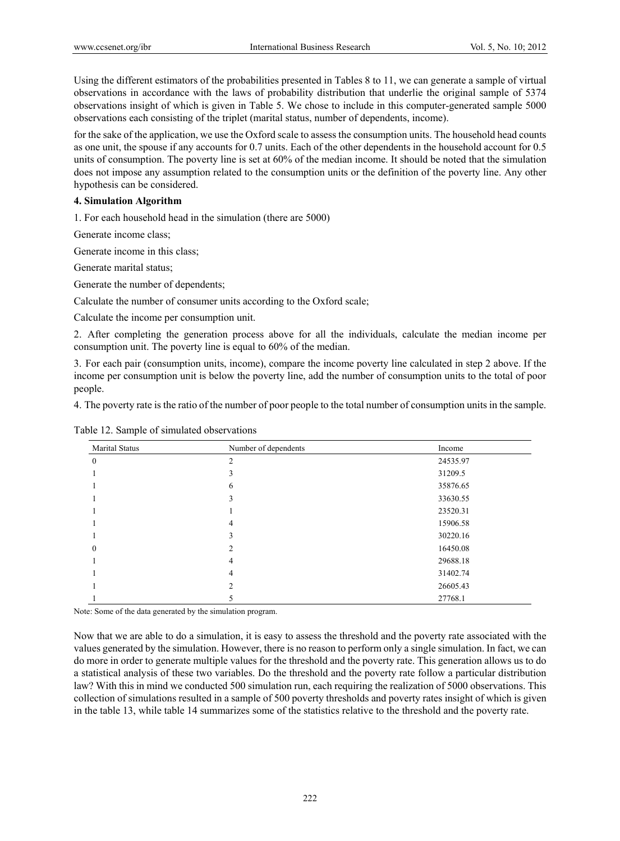Using the different estimators of the probabilities presented in Tables 8 to 11, we can generate a sample of virtual observations in accordance with the laws of probability distribution that underlie the original sample of 5374 observations insight of which is given in Table 5. We chose to include in this computer-generated sample 5000 observations each consisting of the triplet (marital status, number of dependents, income).

for the sake of the application, we use the Oxford scale to assess the consumption units. The household head counts as one unit, the spouse if any accounts for 0.7 units. Each of the other dependents in the household account for 0.5 units of consumption. The poverty line is set at 60% of the median income. It should be noted that the simulation does not impose any assumption related to the consumption units or the definition of the poverty line. Any other hypothesis can be considered.

#### **4. Simulation Algorithm**

1. For each household head in the simulation (there are 5000)

Generate income class;

Generate income in this class;

Generate marital status;

Generate the number of dependents;

Calculate the number of consumer units according to the Oxford scale;

Calculate the income per consumption unit.

2. After completing the generation process above for all the individuals, calculate the median income per consumption unit. The poverty line is equal to 60% of the median.

3. For each pair (consumption units, income), compare the income poverty line calculated in step 2 above. If the income per consumption unit is below the poverty line, add the number of consumption units to the total of poor people.

4. The poverty rate is the ratio of the number of poor people to the total number of consumption units in the sample.

| Marital Status | Number of dependents | Income   |
|----------------|----------------------|----------|
| $\theta$       | $\mathfrak{D}$       | 24535.97 |
|                | C.                   | 31209.5  |
|                | 6                    | 35876.65 |
|                | J.                   | 33630.55 |
|                |                      | 23520.31 |
|                | 4                    | 15906.58 |
|                | 3                    | 30220.16 |
| $\theta$       |                      | 16450.08 |
|                | 4                    | 29688.18 |
|                | 4                    | 31402.74 |
|                | ↑                    | 26605.43 |
|                |                      | 27768.1  |

Table 12. Sample of simulated observations

Note: Some of the data generated by the simulation program.

Now that we are able to do a simulation, it is easy to assess the threshold and the poverty rate associated with the values generated by the simulation. However, there is no reason to perform only a single simulation. In fact, we can do more in order to generate multiple values for the threshold and the poverty rate. This generation allows us to do a statistical analysis of these two variables. Do the threshold and the poverty rate follow a particular distribution law? With this in mind we conducted 500 simulation run, each requiring the realization of 5000 observations. This collection of simulations resulted in a sample of 500 poverty thresholds and poverty rates insight of which is given in the table 13, while table 14 summarizes some of the statistics relative to the threshold and the poverty rate.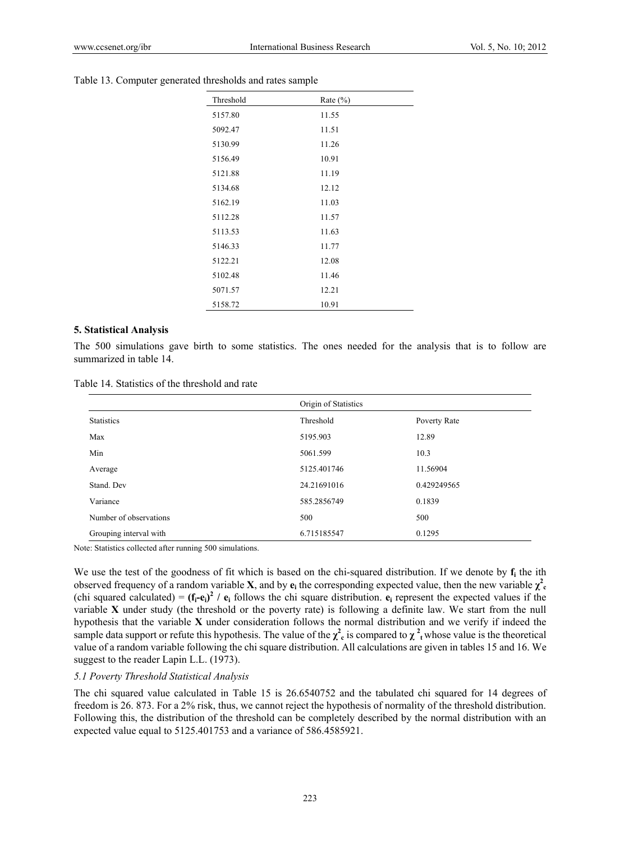| Threshold | Rate $(\% )$ |  |
|-----------|--------------|--|
| 5157.80   | 11.55        |  |
| 5092.47   | 11.51        |  |
| 5130.99   | 11.26        |  |
| 5156.49   | 10.91        |  |
| 5121.88   | 11.19        |  |
| 5134.68   | 12.12        |  |
| 5162.19   | 11.03        |  |
| 5112.28   | 11.57        |  |
| 5113.53   | 11.63        |  |
| 5146.33   | 11.77        |  |
| 5122.21   | 12.08        |  |
| 5102.48   | 11.46        |  |
| 5071.57   | 12.21        |  |
| 5158.72   | 10.91        |  |

#### Table 13. Computer generated thresholds and rates sample

#### **5. Statistical Analysis**

The 500 simulations gave birth to some statistics. The ones needed for the analysis that is to follow are summarized in table 14.

| Table 14. Statistics of the threshold and rate |  |  |  |  |
|------------------------------------------------|--|--|--|--|
|------------------------------------------------|--|--|--|--|

|                        | Origin of Statistics |              |
|------------------------|----------------------|--------------|
| <b>Statistics</b>      | Threshold            | Poverty Rate |
| Max                    | 5195.903             | 12.89        |
| Min                    | 5061.599             | 10.3         |
| Average                | 5125.401746          | 11.56904     |
| Stand, Dev             | 24.21691016          | 0.429249565  |
| Variance               | 585.2856749          | 0.1839       |
| Number of observations | 500                  | 500          |
| Grouping interval with | 6.715185547          | 0.1295       |

Note: Statistics collected after running 500 simulations.

We use the test of the goodness of fit which is based on the chi-squared distribution. If we denote by  $f_i$  the ith observed frequency of a random variable **X**, and by  $e_i$  the corresponding expected value, then the new variable  $\chi^2$ <sub>c</sub> (chi squared calculated) =  $(f_i-e_i)^2$  /  $e_i$  follows the chi square distribution.  $e_i$  represent the expected values if the variable **X** under study (the threshold or the poverty rate) is following a definite law. We start from the null hypothesis that the variable **X** under consideration follows the normal distribution and we verify if indeed the sample data support or refute this hypothesis. The value of the  $\chi^2$  is compared to  $\chi^2$  whose value is the theoretical value of a random variable following the chi square distribution. All calculations are given in tables 15 and 16. We suggest to the reader Lapin L.L. (1973).

#### *5.1 Poverty Threshold Statistical Analysis*

The chi squared value calculated in Table 15 is 26.6540752 and the tabulated chi squared for 14 degrees of freedom is 26. 873. For a 2% risk, thus, we cannot reject the hypothesis of normality of the threshold distribution. Following this, the distribution of the threshold can be completely described by the normal distribution with an expected value equal to 5125.401753 and a variance of 586.4585921.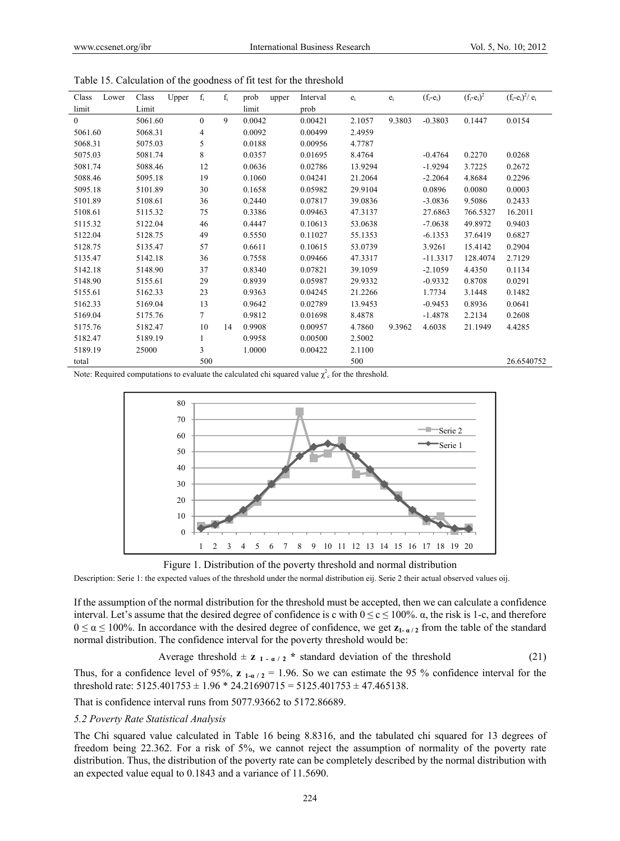| Class    | Lower | Class   | Upper | $f_i$    | $f_i$ | prob   | upper | Interval | $e_i$   | $e_i$  | $(f_i-e_i)$ | $(f_i-e_i)^2$ | $(f_i-e_i)^2/e_i$ |
|----------|-------|---------|-------|----------|-------|--------|-------|----------|---------|--------|-------------|---------------|-------------------|
| limit    |       | Limit   |       |          |       | limit  |       | prob     |         |        |             |               |                   |
| $\theta$ |       | 5061.60 |       | $\theta$ | 9     | 0.0042 |       | 0.00421  | 2.1057  | 9.3803 | $-0.3803$   | 0.1447        | 0.0154            |
| 5061.60  |       | 5068.31 |       | 4        |       | 0.0092 |       | 0.00499  | 2.4959  |        |             |               |                   |
| 5068.31  |       | 5075.03 |       | 5        |       | 0.0188 |       | 0.00956  | 4.7787  |        |             |               |                   |
| 5075.03  |       | 5081.74 |       | 8        |       | 0.0357 |       | 0.01695  | 8.4764  |        | $-0.4764$   | 0.2270        | 0.0268            |
| 5081.74  |       | 5088.46 |       | 12       |       | 0.0636 |       | 0.02786  | 13.9294 |        | $-1.9294$   | 3.7225        | 0.2672            |
| 5088.46  |       | 5095.18 |       | 19       |       | 0.1060 |       | 0.04241  | 21.2064 |        | $-2.2064$   | 4.8684        | 0.2296            |
| 5095.18  |       | 5101.89 |       | 30       |       | 0.1658 |       | 0.05982  | 29.9104 |        | 0.0896      | 0.0080        | 0.0003            |
| 5101.89  |       | 5108.61 |       | 36       |       | 0.2440 |       | 0.07817  | 39.0836 |        | $-3.0836$   | 9.5086        | 0.2433            |
| 5108.61  |       | 5115.32 |       | 75       |       | 0.3386 |       | 0.09463  | 47.3137 |        | 27.6863     | 766.5327      | 16.2011           |
| 5115.32  |       | 5122.04 |       | 46       |       | 0.4447 |       | 0.10613  | 53.0638 |        | $-7.0638$   | 49.8972       | 0.9403            |
| 5122.04  |       | 5128.75 |       | 49       |       | 0.5550 |       | 0.11027  | 55.1353 |        | $-6.1353$   | 37.6419       | 0.6827            |
| 5128.75  |       | 5135.47 |       | 57       |       | 0.6611 |       | 0.10615  | 53.0739 |        | 3.9261      | 15.4142       | 0.2904            |
| 5135.47  |       | 5142.18 |       | 36       |       | 0.7558 |       | 0.09466  | 47.3317 |        | $-11.3317$  | 128.4074      | 2.7129            |
| 5142.18  |       | 5148.90 |       | 37       |       | 0.8340 |       | 0.07821  | 39.1059 |        | $-2.1059$   | 4.4350        | 0.1134            |
| 5148.90  |       | 5155.61 |       | 29       |       | 0.8939 |       | 0.05987  | 29.9332 |        | $-0.9332$   | 0.8708        | 0.0291            |
| 5155.61  |       | 5162.33 |       | 23       |       | 0.9363 |       | 0.04245  | 21.2266 |        | 1.7734      | 3.1448        | 0.1482            |
| 5162.33  |       | 5169.04 |       | 13       |       | 0.9642 |       | 0.02789  | 13.9453 |        | $-0.9453$   | 0.8936        | 0.0641            |
| 5169.04  |       | 5175.76 |       | 7        |       | 0.9812 |       | 0.01698  | 8.4878  |        | $-1.4878$   | 2.2134        | 0.2608            |
| 5175.76  |       | 5182.47 |       | 10       | 14    | 0.9908 |       | 0.00957  | 4.7860  | 9.3962 | 4.6038      | 21.1949       | 4.4285            |
| 5182.47  |       | 5189.19 |       | 1        |       | 0.9958 |       | 0.00500  | 2.5002  |        |             |               |                   |
| 5189.19  |       | 25000   |       | 3        |       | 1.0000 |       | 0.00422  | 2.1100  |        |             |               |                   |
| total    |       |         |       | 500      |       |        |       |          | 500     |        |             |               | 26.6540752        |

Table 15. Calculation of the goodness of fit test for the threshold

Note: Required computations to evaluate the calculated chi squared value  $\chi^2$  for the threshold.



Figure 1. Distribution of the poverty threshold and normal distribution

Description: Serie 1: the expected values of the threshold under the normal distribution eij. Serie 2 their actual observed values oij.

If the assumption of the normal distribution for the threshold must be accepted, then we can calculate a confidence interval. Let's assume that the desired degree of confidence is c with  $0 \le c \le 100\%$ .  $\alpha$ , the risk is 1-c, and therefore  $0 \le \alpha \le 100\%$ . In accordance with the desired degree of confidence, we get  $z_1$ - $\alpha/2$  from the table of the standard normal distribution. The confidence interval for the poverty threshold would be:

Average threshold 
$$
\pm z_{1-a/2} \cdot \text{standard deviation of the threshold}
$$
 (21)

Thus, for a confidence level of 95%,  $z_1$ <sub>1- $\alpha/2$ </sub> = 1.96. So we can estimate the 95 % confidence interval for the threshold rate:  $5125.401753 \pm 1.96 \times 24.21690715 = 5125.401753 \pm 47.465138$ .

That is confidence interval runs from 5077.93662 to 5172.86689.

#### *5.2 Poverty Rate Statistical Analysis*

The Chi squared value calculated in Table 16 being 8.8316, and the tabulated chi squared for 13 degrees of freedom being 22.362. For a risk of 5%, we cannot reject the assumption of normality of the poverty rate distribution. Thus, the distribution of the poverty rate can be completely described by the normal distribution with an expected value equal to 0.1843 and a variance of 11.5690.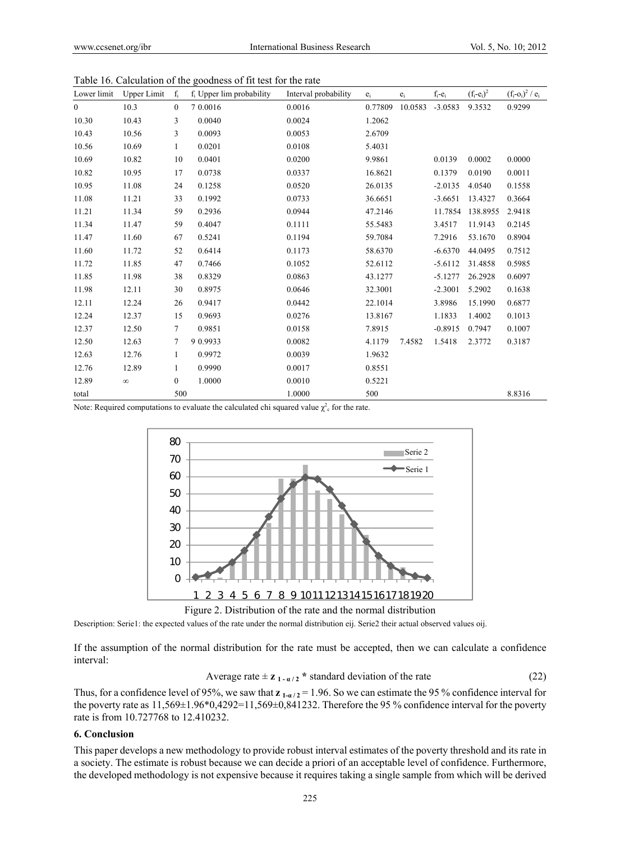| Lower limit    | <b>Upper Limit</b> | $f_i$            | $f_i$ Upper lim probability | Interval probability | $e_i$   | $e_i$   | $f_i-e_i$ | $(f_i-e_i)^2$ | $(f_i - o_i)^2 / e_i$ |
|----------------|--------------------|------------------|-----------------------------|----------------------|---------|---------|-----------|---------------|-----------------------|
| $\overline{0}$ | 10.3               | $\boldsymbol{0}$ | 7 0.0016                    | 0.0016               | 0.77809 | 10.0583 | $-3.0583$ | 9.3532        | 0.9299                |
| 10.30          | 10.43              | 3                | 0.0040                      | 0.0024               | 1.2062  |         |           |               |                       |
| 10.43          | 10.56              | 3                | 0.0093                      | 0.0053               | 2.6709  |         |           |               |                       |
| 10.56          | 10.69              | $\mathbf{1}$     | 0.0201                      | 0.0108               | 5.4031  |         |           |               |                       |
| 10.69          | 10.82              | 10               | 0.0401                      | 0.0200               | 9.9861  |         | 0.0139    | 0.0002        | 0.0000                |
| 10.82          | 10.95              | 17               | 0.0738                      | 0.0337               | 16.8621 |         | 0.1379    | 0.0190        | 0.0011                |
| 10.95          | 11.08              | 24               | 0.1258                      | 0.0520               | 26.0135 |         | $-2.0135$ | 4.0540        | 0.1558                |
| 11.08          | 11.21              | 33               | 0.1992                      | 0.0733               | 36.6651 |         | $-3.6651$ | 13.4327       | 0.3664                |
| 11.21          | 11.34              | 59               | 0.2936                      | 0.0944               | 47.2146 |         | 11.7854   | 138.8955      | 2.9418                |
| 11.34          | 11.47              | 59               | 0.4047                      | 0.1111               | 55.5483 |         | 3.4517    | 11.9143       | 0.2145                |
| 11.47          | 11.60              | 67               | 0.5241                      | 0.1194               | 59.7084 |         | 7.2916    | 53.1670       | 0.8904                |
| 11.60          | 11.72              | 52               | 0.6414                      | 0.1173               | 58.6370 |         | $-6.6370$ | 44.0495       | 0.7512                |
| 11.72          | 11.85              | 47               | 0.7466                      | 0.1052               | 52.6112 |         | $-5.6112$ | 31.4858       | 0.5985                |
| 11.85          | 11.98              | 38               | 0.8329                      | 0.0863               | 43.1277 |         | $-5.1277$ | 26.2928       | 0.6097                |
| 11.98          | 12.11              | 30               | 0.8975                      | 0.0646               | 32.3001 |         | $-2.3001$ | 5.2902        | 0.1638                |
| 12.11          | 12.24              | 26               | 0.9417                      | 0.0442               | 22.1014 |         | 3.8986    | 15.1990       | 0.6877                |
| 12.24          | 12.37              | 15               | 0.9693                      | 0.0276               | 13.8167 |         | 1.1833    | 1.4002        | 0.1013                |
| 12.37          | 12.50              | 7                | 0.9851                      | 0.0158               | 7.8915  |         | $-0.8915$ | 0.7947        | 0.1007                |
| 12.50          | 12.63              | 7                | 9 0.9933                    | 0.0082               | 4.1179  | 7.4582  | 1.5418    | 2.3772        | 0.3187                |
| 12.63          | 12.76              | $\mathbf{1}$     | 0.9972                      | 0.0039               | 1.9632  |         |           |               |                       |
| 12.76          | 12.89              | $\mathbf{1}$     | 0.9990                      | 0.0017               | 0.8551  |         |           |               |                       |
| 12.89          | $\infty$           | $\boldsymbol{0}$ | 1.0000                      | 0.0010               | 0.5221  |         |           |               |                       |
| total          |                    | 500              |                             | 1.0000               | 500     |         |           |               | 8.8316                |

Table 16. Calculation of the goodness of fit test for the rate

Note: Required computations to evaluate the calculated chi squared value  $\chi^2$  for the rate.



Description: Serie1: the expected values of the rate under the normal distribution eij. Serie2 their actual observed values oij.

If the assumption of the normal distribution for the rate must be accepted, then we can calculate a confidence interval:

Average rate 
$$
\pm z_{1-\alpha/2} \cdot
$$
 standard deviation of the rate (22)

Thus, for a confidence level of 95%, we saw that  $z_1$ <sub>- $\alpha/2$ </sub> = 1.96. So we can estimate the 95% confidence interval for the poverty rate as  $11,569\pm1.96*0,4292=11,569\pm0,841232$ . Therefore the 95 % confidence interval for the poverty rate is from 10.727768 to 12.410232.

#### **6. Conclusion**

This paper develops a new methodology to provide robust interval estimates of the poverty threshold and its rate in a society. The estimate is robust because we can decide a priori of an acceptable level of confidence. Furthermore, the developed methodology is not expensive because it requires taking a single sample from which will be derived